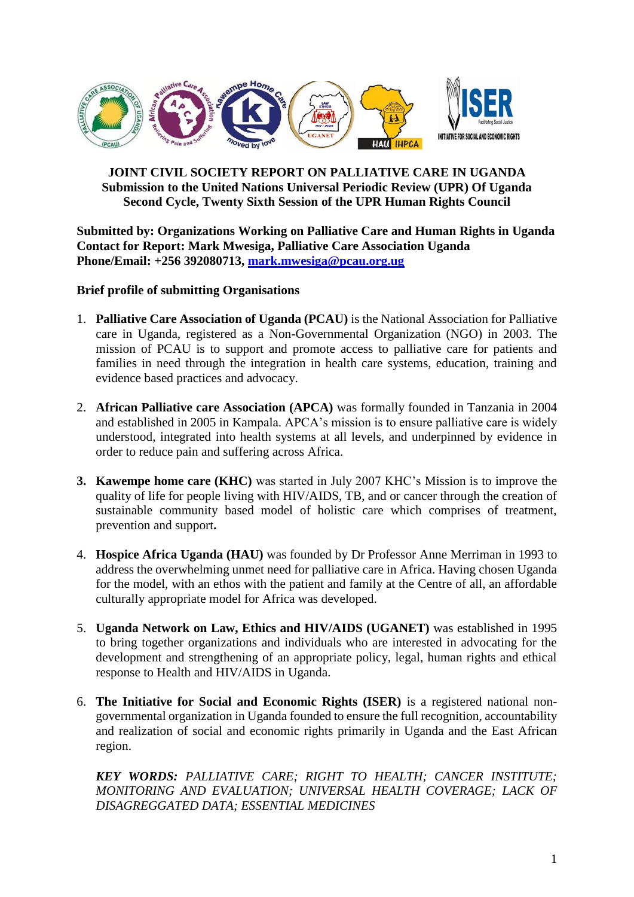

#### **JOINT CIVIL SOCIETY REPORT ON PALLIATIVE CARE IN UGANDA Submission to the United Nations Universal Periodic Review (UPR) Of Uganda Second Cycle, Twenty Sixth Session of the UPR Human Rights Council**

**Submitted by: Organizations Working on Palliative Care and Human Rights in Uganda Contact for Report: Mark Mwesiga, Palliative Care Association Uganda Phone/Email: +256 392080713, [mark.mwesiga@pcau.org.ug](mailto:mark.mwesiga@pcau.org.ug)**

#### **Brief profile of submitting Organisations**

- 1. **Palliative Care Association of Uganda (PCAU)** is the National Association for Palliative care in Uganda, registered as a Non-Governmental Organization (NGO) in 2003. The mission of PCAU is to support and promote access to palliative care for patients and families in need through the integration in health care systems, education, training and evidence based practices and advocacy.
- 2. **African Palliative care Association (APCA)** was formally founded in Tanzania in 2004 and established in 2005 in Kampala. APCA's mission is to ensure palliative care is widely understood, integrated into health systems at all levels, and underpinned by evidence in order to reduce pain and suffering across Africa.
- **3. Kawempe home care (KHC)** was started in July 2007 KHC's Mission is to improve the quality of life for people living with HIV/AIDS, TB, and or cancer through the creation of sustainable community based model of holistic care which comprises of treatment, prevention and support**.**
- 4. **Hospice Africa Uganda (HAU)** was founded by Dr Professor Anne Merriman in 1993 to address the overwhelming unmet need for palliative care in Africa. Having chosen Uganda for the model, with an ethos with the patient and family at the Centre of all, an affordable culturally appropriate model for Africa was developed.
- 5. **Uganda Network on Law, Ethics and HIV/AIDS (UGANET)** was established in 1995 to bring together organizations and individuals who are interested in advocating for the development and strengthening of an appropriate policy, legal, human rights and ethical response to Health and HIV/AIDS in Uganda.
- 6. **The Initiative for Social and Economic Rights (ISER)** is a registered national nongovernmental organization in Uganda founded to ensure the full recognition, accountability and realization of social and economic rights primarily in Uganda and the East African region.

*KEY WORDS: PALLIATIVE CARE; RIGHT TO HEALTH; CANCER INSTITUTE; MONITORING AND EVALUATION; UNIVERSAL HEALTH COVERAGE; LACK OF DISAGREGGATED DATA; ESSENTIAL MEDICINES*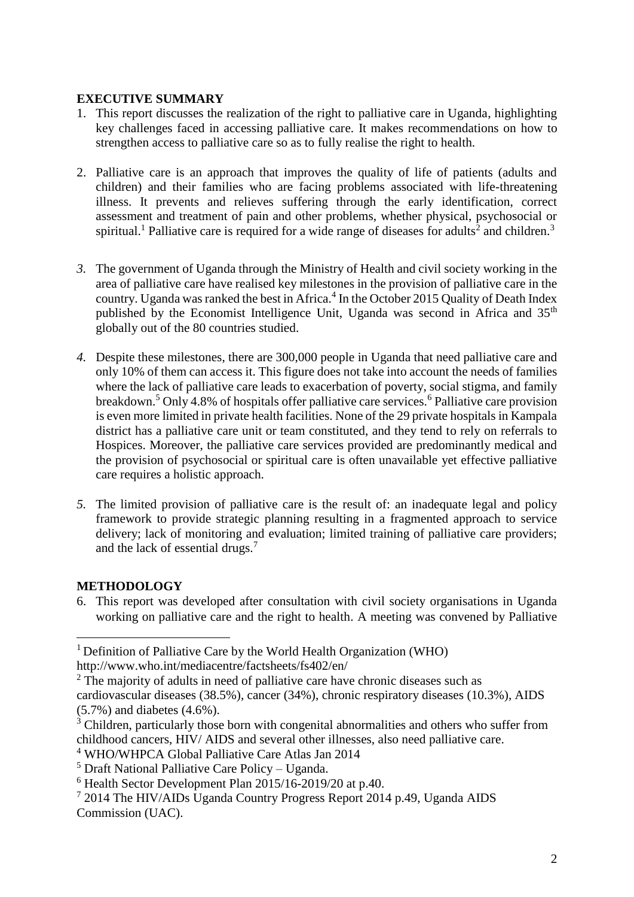#### **EXECUTIVE SUMMARY**

- 1. This report discusses the realization of the right to palliative care in Uganda, highlighting key challenges faced in accessing palliative care. It makes recommendations on how to strengthen access to palliative care so as to fully realise the right to health.
- 2. Palliative care is an approach that improves the quality of life of patients (adults and children) and their families who are facing problems associated with life-threatening illness. It prevents and relieves suffering through the early identification, correct assessment and treatment of pain and other problems, whether physical, psychosocial or spiritual.<sup>1</sup> Palliative care is required for a wide range of diseases for adults<sup>2</sup> and children.<sup>3</sup>
- *3.* The government of Uganda through the Ministry of Health and civil society working in the area of palliative care have realised key milestones in the provision of palliative care in the country. Uganda was ranked the best in Africa. 4 In the October 2015 Quality of Death Index published by the Economist Intelligence Unit, Uganda was second in Africa and 35<sup>th</sup> globally out of the 80 countries studied.
- *4.* Despite these milestones, there are 300,000 people in Uganda that need palliative care and only 10% of them can access it. This figure does not take into account the needs of families where the lack of palliative care leads to exacerbation of poverty, social stigma, and family breakdown.<sup>5</sup> Only 4.8% of hospitals offer palliative care services.<sup>6</sup> Palliative care provision is even more limited in private health facilities. None of the 29 private hospitals in Kampala district has a palliative care unit or team constituted, and they tend to rely on referrals to Hospices. Moreover, the palliative care services provided are predominantly medical and the provision of psychosocial or spiritual care is often unavailable yet effective palliative care requires a holistic approach.
- *5.* The limited provision of palliative care is the result of: an inadequate legal and policy framework to provide strategic planning resulting in a fragmented approach to service delivery; lack of monitoring and evaluation; limited training of palliative care providers; and the lack of essential drugs. 7

## **METHODOLOGY**

1

6. This report was developed after consultation with civil society organisations in Uganda working on palliative care and the right to health. A meeting was convened by Palliative

<sup>1</sup> Definition of Palliative Care by the World Health Organization (WHO) http://www.who.int/mediacentre/factsheets/fs402/en/

<sup>&</sup>lt;sup>2</sup> The majority of adults in need of palliative care have chronic diseases such as cardiovascular diseases (38.5%), cancer (34%), chronic respiratory diseases (10.3%), AIDS (5.7%) and diabetes (4.6%).

 $3$  Children, particularly those born with congenital abnormalities and others who suffer from childhood cancers, HIV/ AIDS and several other illnesses, also need palliative care.

<sup>4</sup> WHO/WHPCA Global Palliative Care Atlas Jan 2014

<sup>5</sup> Draft National Palliative Care Policy – Uganda.

 $6$  Health Sector Development Plan 2015/16-2019/20 at p.40.

<sup>7</sup> 2014 The HIV/AIDs Uganda Country Progress Report 2014 p.49, Uganda AIDS Commission (UAC).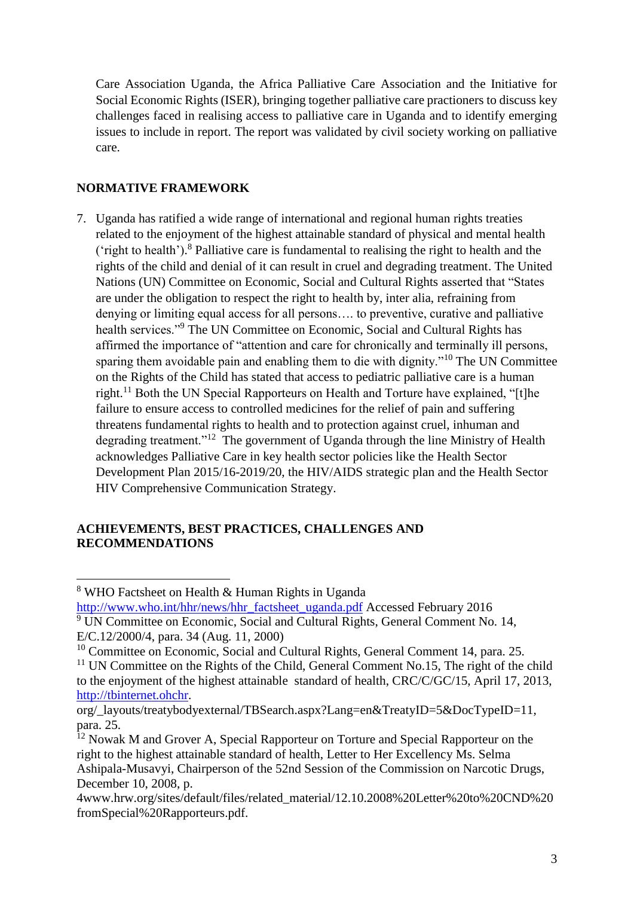Care Association Uganda, the Africa Palliative Care Association and the Initiative for Social Economic Rights (ISER), bringing together palliative care practioners to discuss key challenges faced in realising access to palliative care in Uganda and to identify emerging issues to include in report. The report was validated by civil society working on palliative care.

# **NORMATIVE FRAMEWORK**

1

7. Uganda has ratified a wide range of international and regional human rights treaties related to the enjoyment of the highest attainable standard of physical and mental health ('right to health'). <sup>8</sup> Palliative care is fundamental to realising the right to health and the rights of the child and denial of it can result in cruel and degrading treatment. The United Nations (UN) Committee on Economic, Social and Cultural Rights asserted that "States are under the obligation to respect the right to health by, inter alia, refraining from denying or limiting equal access for all persons…. to preventive, curative and palliative health services."<sup>9</sup> The UN Committee on Economic, Social and Cultural Rights has affirmed the importance of "attention and care for chronically and terminally ill persons, sparing them avoidable pain and enabling them to die with dignity."<sup>10</sup> The UN Committee on the Rights of the Child has stated that access to pediatric palliative care is a human right.<sup>11</sup> Both the UN Special Rapporteurs on Health and Torture have explained, "[t]he failure to ensure access to controlled medicines for the relief of pain and suffering threatens fundamental rights to health and to protection against cruel, inhuman and degrading treatment."<sup>12</sup> The government of Uganda through the line Ministry of Health acknowledges Palliative Care in key health sector policies like the Health Sector Development Plan 2015/16-2019/20, the HIV/AIDS strategic plan and the Health Sector HIV Comprehensive Communication Strategy.

#### **ACHIEVEMENTS, BEST PRACTICES, CHALLENGES AND RECOMMENDATIONS**

[http://www.who.int/hhr/news/hhr\\_factsheet\\_uganda.pdf](http://www.who.int/hhr/news/hhr_factsheet_uganda.pdf) Accessed February 2016

<sup>10</sup> Committee on Economic, Social and Cultural Rights, General Comment 14, para. 25.

<sup>8</sup> WHO Factsheet on Health & Human Rights in Uganda

 $9$  UN Committee on Economic, Social and Cultural Rights, General Comment No. 14, E/C.12/2000/4, para. 34 (Aug. 11, 2000)

<sup>&</sup>lt;sup>11</sup> UN Committee on the Rights of the Child, General Comment No.15, The right of the child to the enjoyment of the highest attainable standard of health, CRC/C/GC/15, April 17, 2013, [http://tbinternet.ohchr.](http://tbinternet.ohchr/)

org/\_layouts/treatybodyexternal/TBSearch.aspx?Lang=en&TreatyID=5&DocTypeID=11, para. 25.

<sup>&</sup>lt;sup>12</sup> Nowak M and Grover A, Special Rapporteur on Torture and Special Rapporteur on the right to the highest attainable standard of health, Letter to Her Excellency Ms. Selma Ashipala-Musavyi, Chairperson of the 52nd Session of the Commission on Narcotic Drugs, December 10, 2008, p.

<sup>4</sup>www.hrw.org/sites/default/files/related\_material/12.10.2008%20Letter%20to%20CND%20 fromSpecial%20Rapporteurs.pdf.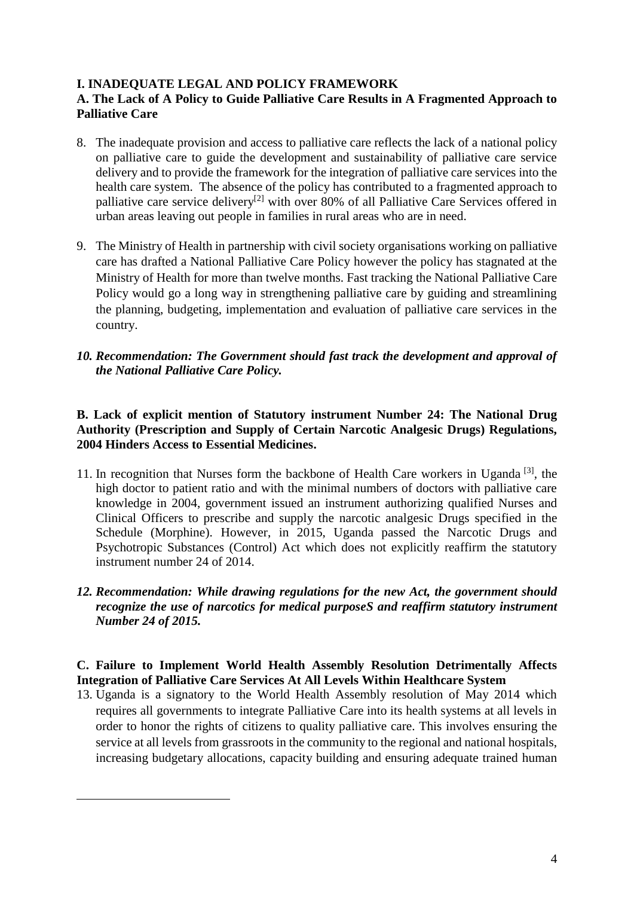# **I. INADEQUATE LEGAL AND POLICY FRAMEWORK**

# **A. The Lack of A Policy to Guide Palliative Care Results in A Fragmented Approach to Palliative Care**

- 8. The inadequate provision and access to palliative care reflects the lack of a national policy on palliative care to guide the development and sustainability of palliative care service delivery and to provide the framework for the integration of palliative care services into the health care system. The absence of the policy has contributed to a fragmented approach to palliative care service delivery<sup>[2]</sup> with over 80% of all Palliative Care Services offered in urban areas leaving out people in families in rural areas who are in need.
- 9. The Ministry of Health in partnership with civil society organisations working on palliative care has drafted a National Palliative Care Policy however the policy has stagnated at the Ministry of Health for more than twelve months. Fast tracking the National Palliative Care Policy would go a long way in strengthening palliative care by guiding and streamlining the planning, budgeting, implementation and evaluation of palliative care services in the country.
- *10. Recommendation: The Government should fast track the development and approval of the National Palliative Care Policy.*

## **B. Lack of explicit mention of Statutory instrument Number 24: The National Drug Authority (Prescription and Supply of Certain Narcotic Analgesic Drugs) Regulations, 2004 Hinders Access to Essential Medicines.**

- 11. In recognition that Nurses form the backbone of Health Care workers in Uganda [3], the high doctor to patient ratio and with the minimal numbers of doctors with palliative care knowledge in 2004, government issued an instrument authorizing qualified Nurses and Clinical Officers to prescribe and supply the narcotic analgesic Drugs specified in the Schedule (Morphine). However, in 2015, Uganda passed the Narcotic Drugs and Psychotropic Substances (Control) Act which does not explicitly reaffirm the statutory instrument number 24 of 2014.
- *12. Recommendation: While drawing regulations for the new Act, the government should recognize the use of narcotics for medical purposeS and reaffirm statutory instrument Number 24 of 2015.*

## **C. Failure to Implement World Health Assembly Resolution Detrimentally Affects Integration of Palliative Care Services At All Levels Within Healthcare System**

13. Uganda is a signatory to the World Health Assembly resolution of May 2014 which requires all governments to integrate Palliative Care into its health systems at all levels in order to honor the rights of citizens to quality palliative care. This involves ensuring the service at all levels from grassroots in the community to the regional and national hospitals, increasing budgetary allocations, capacity building and ensuring adequate trained human

1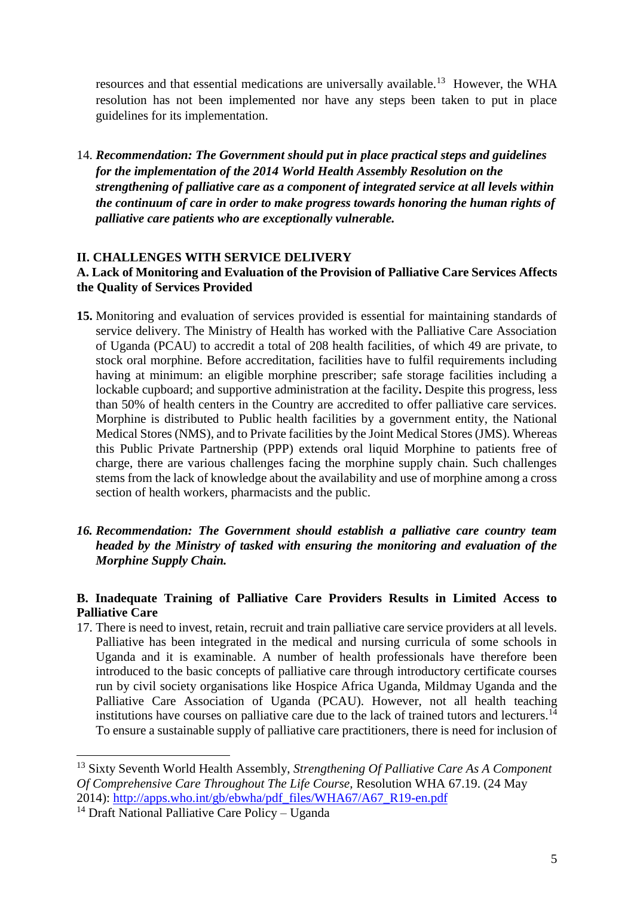resources and that essential medications are universally available.<sup>13</sup> However, the WHA resolution has not been implemented nor have any steps been taken to put in place guidelines for its implementation.

14. *Recommendation: The Government should put in place practical steps and guidelines for the implementation of the 2014 World Health Assembly Resolution on the strengthening of palliative care as a component of integrated service at all levels within the continuum of care in order to make progress towards honoring the human rights of palliative care patients who are exceptionally vulnerable.*

#### **II. CHALLENGES WITH SERVICE DELIVERY A. Lack of Monitoring and Evaluation of the Provision of Palliative Care Services Affects the Quality of Services Provided**

- **15.** Monitoring and evaluation of services provided is essential for maintaining standards of service delivery. The Ministry of Health has worked with the Palliative Care Association of Uganda (PCAU) to accredit a total of 208 health facilities, of which 49 are private, to stock oral morphine. Before accreditation, facilities have to fulfil requirements including having at minimum: an eligible morphine prescriber; safe storage facilities including a lockable cupboard; and supportive administration at the facility**.** Despite this progress, less than 50% of health centers in the Country are accredited to offer palliative care services. Morphine is distributed to Public health facilities by a government entity, the National Medical Stores (NMS), and to Private facilities by the Joint Medical Stores (JMS). Whereas this Public Private Partnership (PPP) extends oral liquid Morphine to patients free of charge, there are various challenges facing the morphine supply chain. Such challenges stems from the lack of knowledge about the availability and use of morphine among a cross section of health workers, pharmacists and the public.
- *16. Recommendation: The Government should establish a palliative care country team headed by the Ministry of tasked with ensuring the monitoring and evaluation of the Morphine Supply Chain.*

## **B. Inadequate Training of Palliative Care Providers Results in Limited Access to Palliative Care**

17. There is need to invest, retain, recruit and train palliative care service providers at all levels. Palliative has been integrated in the medical and nursing curricula of some schools in Uganda and it is examinable. A number of health professionals have therefore been introduced to the basic concepts of palliative care through introductory certificate courses run by civil society organisations like Hospice Africa Uganda, Mildmay Uganda and the Palliative Care Association of Uganda (PCAU). However, not all health teaching institutions have courses on palliative care due to the lack of trained tutors and lecturers.<sup>14</sup> To ensure a sustainable supply of palliative care practitioners, there is need for inclusion of

<u>.</u>

<sup>13</sup> Sixty Seventh World Health Assembly, *Strengthening Of Palliative Care As A Component Of Comprehensive Care Throughout The Life Course,* Resolution WHA 67.19. (24 May 2014): [http://apps.who.int/gb/ebwha/pdf\\_files/WHA67/A67\\_R19-en.pdf](http://apps.who.int/gb/ebwha/pdf_files/WHA67/A67_R19-en.pdf)

<sup>14</sup> Draft National Palliative Care Policy – Uganda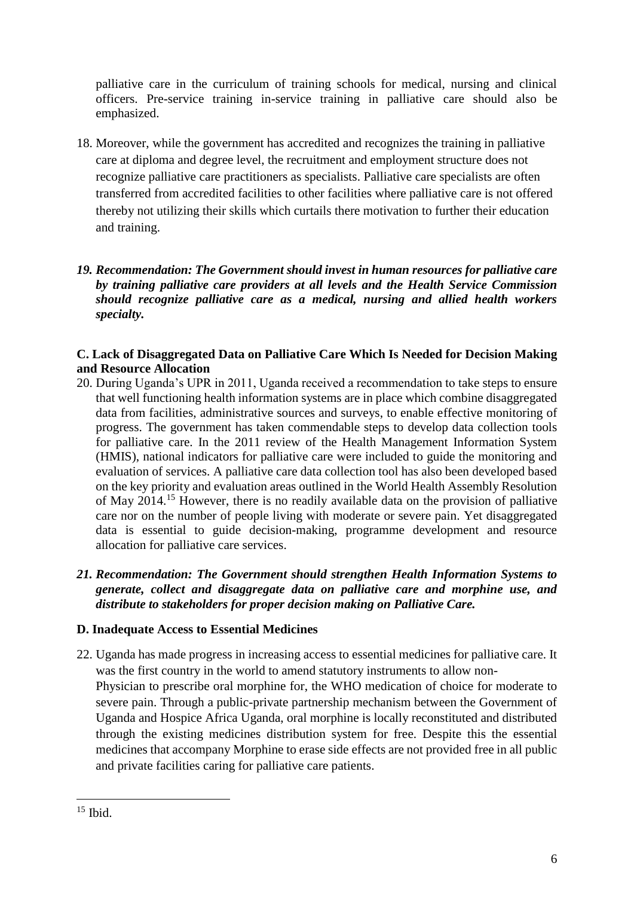palliative care in the curriculum of training schools for medical, nursing and clinical officers. Pre-service training in-service training in palliative care should also be emphasized.

- 18. Moreover, while the government has accredited and recognizes the training in palliative care at diploma and degree level, the recruitment and employment structure does not recognize palliative care practitioners as specialists. Palliative care specialists are often transferred from accredited facilities to other facilities where palliative care is not offered thereby not utilizing their skills which curtails there motivation to further their education and training.
- *19. Recommendation: The Government should invest in human resources for palliative care by training palliative care providers at all levels and the Health Service Commission should recognize palliative care as a medical, nursing and allied health workers specialty.*

## **C. Lack of Disaggregated Data on Palliative Care Which Is Needed for Decision Making and Resource Allocation**

- 20. During Uganda's UPR in 2011, Uganda received a recommendation to take steps to ensure that well functioning health information systems are in place which combine disaggregated data from facilities, administrative sources and surveys, to enable effective monitoring of progress. The government has taken commendable steps to develop data collection tools for palliative care. In the 2011 review of the Health Management Information System (HMIS), national indicators for palliative care were included to guide the monitoring and evaluation of services. A palliative care data collection tool has also been developed based on the key priority and evaluation areas outlined in the World Health Assembly Resolution of May 2014.<sup>15</sup> However, there is no readily available data on the provision of palliative care nor on the number of people living with moderate or severe pain. Yet disaggregated data is essential to guide decision-making, programme development and resource allocation for palliative care services.
- *21. Recommendation: The Government should strengthen Health Information Systems to generate, collect and disaggregate data on palliative care and morphine use, and distribute to stakeholders for proper decision making on Palliative Care.*

## **D. Inadequate Access to Essential Medicines**

22. Uganda has made progress in increasing access to essential medicines for palliative care. It was the first country in the world to amend statutory instruments to allow non-Physician to prescribe oral morphine for, the WHO medication of choice for moderate to severe pain. Through a public-private partnership mechanism between the Government of Uganda and Hospice Africa Uganda, oral morphine is locally reconstituted and distributed through the existing medicines distribution system for free. Despite this the essential medicines that accompany Morphine to erase side effects are not provided free in all public and private facilities caring for palliative care patients.

<sup>1</sup>  $15$  Ibid.